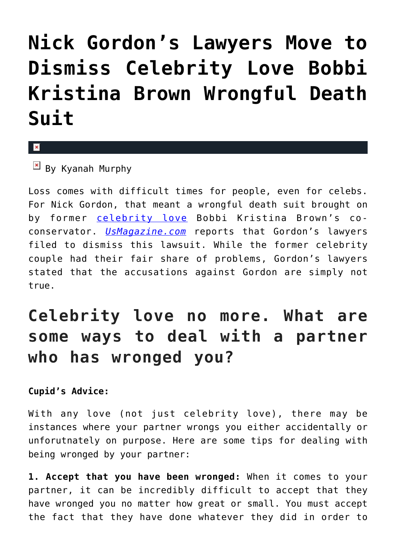## **[Nick Gordon's Lawyers Move to](https://cupidspulse.com/99641/nick-gordon-lawyers-move-to-dismiss-celebrity-love-bobbi-kristina-brown-wrongful-death-suit/) [Dismiss Celebrity Love Bobbi](https://cupidspulse.com/99641/nick-gordon-lawyers-move-to-dismiss-celebrity-love-bobbi-kristina-brown-wrongful-death-suit/) [Kristina Brown Wrongful Death](https://cupidspulse.com/99641/nick-gordon-lawyers-move-to-dismiss-celebrity-love-bobbi-kristina-brown-wrongful-death-suit/) [Suit](https://cupidspulse.com/99641/nick-gordon-lawyers-move-to-dismiss-celebrity-love-bobbi-kristina-brown-wrongful-death-suit/)**

## x

 $\overline{B}$  By Kyanah Murphy

Loss comes with difficult times for people, even for celebs. For Nick Gordon, that meant a wrongful death suit brought on by former [celebrity love](http://cupidspulse.com/celebrity-relationships/long-term-relationships-flings/) Bobbi Kristina Brown's coconservator. *[UsMagazine.com](http://www.usmagazine.com/celebrity-news/news/nick-gordons-lawyers-file-motion-to-dismiss-bobbi-kristina-lawsuit-201589)* reports that Gordon's lawyers filed to dismiss this lawsuit. While the former celebrity couple had their fair share of problems, Gordon's lawyers stated that the accusations against Gordon are simply not true.

## **Celebrity love no more. What are some ways to deal with a partner who has wronged you?**

## **Cupid's Advice:**

With any love (not just celebrity love), there may be instances where your partner wrongs you either accidentally or unforutnately on purpose. Here are some tips for dealing with being wronged by your partner:

**1. Accept that you have been wronged:** When it comes to your partner, it can be incredibly difficult to accept that they have wronged you no matter how great or small. You must accept the fact that they have done whatever they did in order to